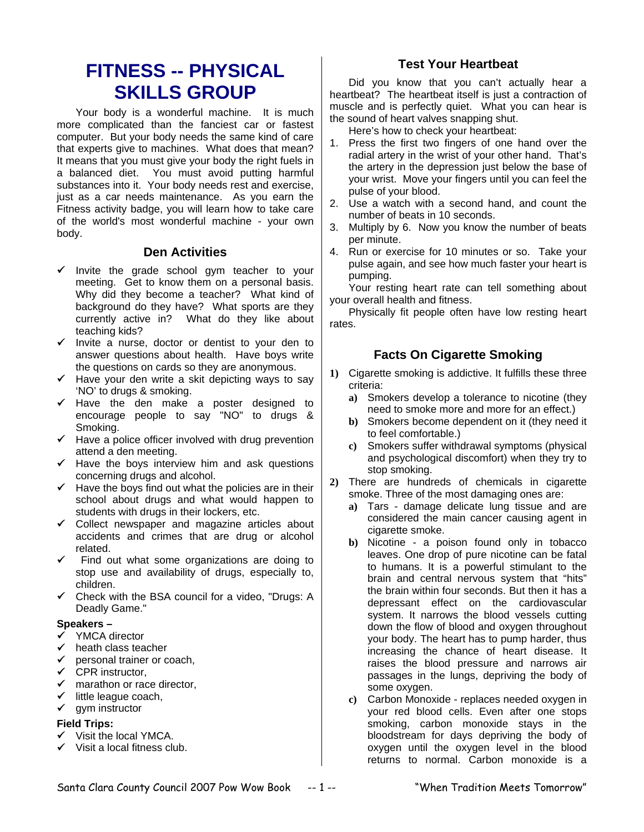# **FITNESS -- PHYSICAL SKILLS GROUP**

Your body is a wonderful machine. It is much more complicated than the fanciest car or fastest computer. But your body needs the same kind of care that experts give to machines. What does that mean? It means that you must give your body the right fuels in a balanced diet. You must avoid putting harmful substances into it. Your body needs rest and exercise, just as a car needs maintenance. As you earn the Fitness activity badge, you will learn how to take care of the world's most wonderful machine - your own body.

## **Den Activities**

- $\checkmark$  Invite the grade school gym teacher to your meeting. Get to know them on a personal basis. Why did they become a teacher? What kind of background do they have? What sports are they currently active in? What do they like about teaching kids?
- $\checkmark$  Invite a nurse, doctor or dentist to your den to answer questions about health. Have boys write the questions on cards so they are anonymous.
- $\checkmark$  Have your den write a skit depicting ways to say 'NO' to drugs & smoking.
- $\checkmark$  Have the den make a poster designed to encourage people to say "NO" to drugs & Smoking.
- $\checkmark$  Have a police officer involved with drug prevention attend a den meeting.
- $\checkmark$  Have the boys interview him and ask questions concerning drugs and alcohol.
- $\checkmark$  Have the boys find out what the policies are in their school about drugs and what would happen to students with drugs in their lockers, etc.
- $\checkmark$  Collect newspaper and magazine articles about accidents and crimes that are drug or alcohol related.
- Find out what some organizations are doing to stop use and availability of drugs, especially to, children.
- $\checkmark$  Check with the BSA council for a video, "Drugs: A Deadly Game."

#### **Speakers –**

- YMCA director
- $\checkmark$  heath class teacher
- $\checkmark$  personal trainer or coach,<br> $\checkmark$  CPR instructor
- CPR instructor.
- $\checkmark$  marathon or race director,
- $\checkmark$  little league coach,
- $\checkmark$  gym instructor

# **Field Trips:**

- $\checkmark$  Visit the local YMCA.
- $\checkmark$  Visit a local fitness club.

# **Test Your Heartbeat**

Did you know that you can't actually hear a heartbeat? The heartbeat itself is just a contraction of muscle and is perfectly quiet. What you can hear is the sound of heart valves snapping shut.

Here's how to check your heartbeat:

- 1. Press the first two fingers of one hand over the radial artery in the wrist of your other hand. That's the artery in the depression just below the base of your wrist. Move your fingers until you can feel the pulse of your blood.
- 2. Use a watch with a second hand, and count the number of beats in 10 seconds.
- 3. Multiply by 6. Now you know the number of beats per minute.
- 4. Run or exercise for 10 minutes or so. Take your pulse again, and see how much faster your heart is pumping.

Your resting heart rate can tell something about your overall health and fitness.

Physically fit people often have low resting heart rates.

# **Facts On Cigarette Smoking**

- **1)** Cigarette smoking is addictive. It fulfills these three criteria:
	- **a)** Smokers develop a tolerance to nicotine (they need to smoke more and more for an effect.)
	- **b)** Smokers become dependent on it (they need it to feel comfortable.)
	- **c)** Smokers suffer withdrawal symptoms (physical and psychological discomfort) when they try to stop smoking.
- **2)** There are hundreds of chemicals in cigarette smoke. Three of the most damaging ones are:
	- **a)** Tars damage delicate lung tissue and are considered the main cancer causing agent in cigarette smoke.
	- **b)** Nicotine a poison found only in tobacco leaves. One drop of pure nicotine can be fatal to humans. It is a powerful stimulant to the brain and central nervous system that "hits" the brain within four seconds. But then it has a depressant effect on the cardiovascular system. It narrows the blood vessels cutting down the flow of blood and oxygen throughout your body. The heart has to pump harder, thus increasing the chance of heart disease. It raises the blood pressure and narrows air passages in the lungs, depriving the body of some oxygen.
	- **c)** Carbon Monoxide replaces needed oxygen in your red blood cells. Even after one stops smoking, carbon monoxide stays in the bloodstream for days depriving the body of oxygen until the oxygen level in the blood returns to normal. Carbon monoxide is a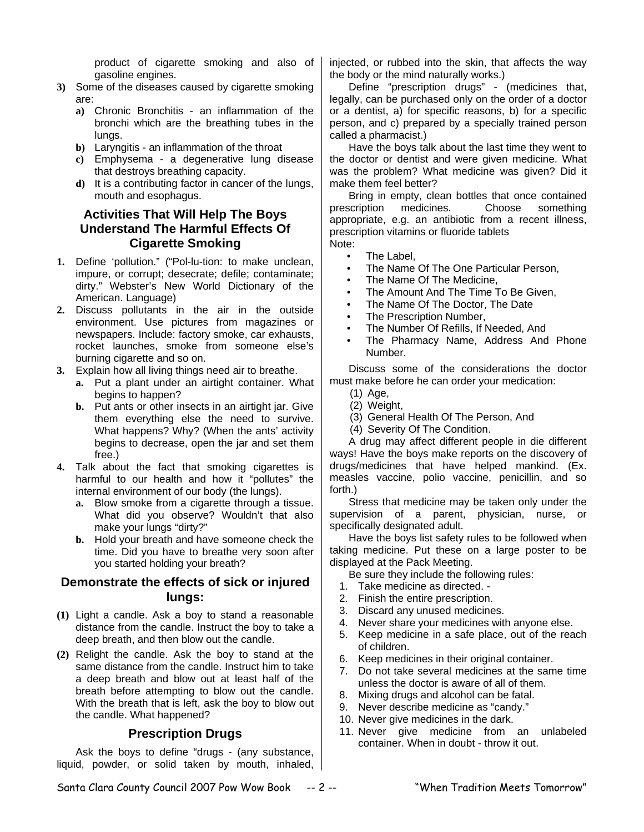product of cigarette smoking and also of gasoline engines.

- **3)** Some of the diseases caused by cigarette smoking are:
	- **a)** Chronic Bronchitis an inflammation of the bronchi which are the breathing tubes in the lungs.
	- **b)** Laryngitis an inflammation of the throat
	- **c)** Emphysema a degenerative lung disease that destroys breathing capacity.
	- **d)** It is a contributing factor in cancer of the lungs, mouth and esophagus.

#### **Activities That Will Help The Boys Understand The Harmful Effects Of Cigarette Smoking**

- **1.** Define 'pollution." ("Pol-lu-tion: to make unclean, impure, or corrupt; desecrate; defile; contaminate; dirty." Webster's New World Dictionary of the American. Language)
- **2.** Discuss pollutants in the air in the outside environment. Use pictures from magazines or newspapers. Include: factory smoke, car exhausts, rocket launches, smoke from someone else's burning cigarette and so on.
- **3.** Explain how all living things need air to breathe.
	- **a.** Put a plant under an airtight container. What begins to happen?
	- **b.** Put ants or other insects in an airtight jar. Give them everything else the need to survive. What happens? Why? (When the ants' activity begins to decrease, open the jar and set them free.)
- **4.** Talk about the fact that smoking cigarettes is harmful to our health and how it "pollutes" the internal environment of our body (the lungs).
	- **a.** Blow smoke from a cigarette through a tissue. What did you observe? Wouldn't that also make your lungs "dirty?"
	- **b.** Hold your breath and have someone check the time. Did you have to breathe very soon after you started holding your breath?

#### **Demonstrate the effects of sick or injured lungs:**

- **(1)** Light a candle. Ask a boy to stand a reasonable distance from the candle. Instruct the boy to take a deep breath, and then blow out the candle.
- **(2)** Relight the candle. Ask the boy to stand at the same distance from the candle. Instruct him to take a deep breath and blow out at least half of the breath before attempting to blow out the candle. With the breath that is left, ask the boy to blow out the candle. What happened?

#### **Prescription Drugs**

Ask the boys to define "drugs - (any substance, liquid, powder, or solid taken by mouth, inhaled, injected, or rubbed into the skin, that affects the way the body or the mind naturally works.)

Define "prescription drugs" - (medicines that, legally, can be purchased only on the order of a doctor or a dentist, a) for specific reasons, b) for a specific person, and c) prepared by a specially trained person called a pharmacist.)

Have the boys talk about the last time they went to the doctor or dentist and were given medicine. What was the problem? What medicine was given? Did it make them feel better?

Bring in empty, clean bottles that once contained prescription medicines. Choose something appropriate, e.g. an antibiotic from a recent illness, prescription vitamins or fluoride tablets Note:

- The Label,
- The Name Of The One Particular Person,
- The Name Of The Medicine,
- The Amount And The Time To Be Given,
- The Name Of The Doctor, The Date
- The Prescription Number,
- The Number Of Refills, If Needed, And
- The Pharmacy Name, Address And Phone Number.

Discuss some of the considerations the doctor must make before he can order your medication:

- (1) Age,
- (2) Weight,
- (3) General Health Of The Person, And
- (4) Severity Of The Condition.

A drug may affect different people in die different ways! Have the boys make reports on the discovery of drugs/medicines that have helped mankind. (Ex. measles vaccine, polio vaccine, penicillin, and so forth.)

Stress that medicine may be taken only under the supervision of a parent, physician, nurse, or specifically designated adult.

Have the boys list safety rules to be followed when taking medicine. Put these on a large poster to be displayed at the Pack Meeting.

Be sure they include the following rules:

- 1. Take medicine as directed. -
- 2. Finish the entire prescription.
- 3. Discard any unused medicines.
- 4. Never share your medicines with anyone else.
- 5. Keep medicine in a safe place, out of the reach of children.
- 6. Keep medicines in their original container.
- 7. Do not take several medicines at the same time unless the doctor is aware of all of them.
- 8. Mixing drugs and alcohol can be fatal.
- 9. Never describe medicine as "candy."
- 10. Never give medicines in the dark.
- 11. Never give medicine from an unlabeled container. When in doubt - throw it out.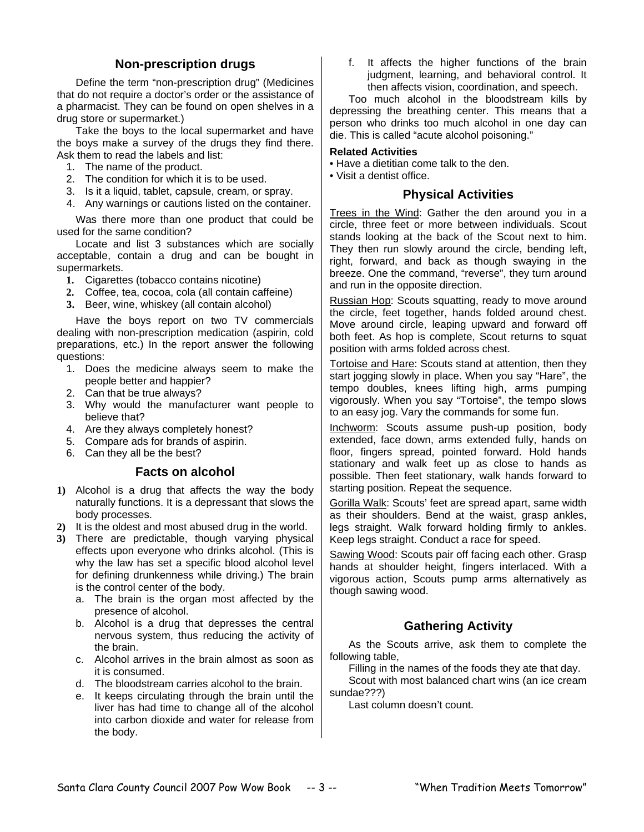### **Non-prescription drugs**

Define the term "non-prescription drug" (Medicines that do not require a doctor's order or the assistance of a pharmacist. They can be found on open shelves in a drug store or supermarket.)

Take the boys to the local supermarket and have the boys make a survey of the drugs they find there. Ask them to read the labels and list:

- 1. The name of the product.
- 2. The condition for which it is to be used.
- 3. Is it a liquid, tablet, capsule, cream, or spray.
- 4. Any warnings or cautions listed on the container.

Was there more than one product that could be used for the same condition?

Locate and list 3 substances which are socially acceptable, contain a drug and can be bought in supermarkets.

- **1.** Cigarettes (tobacco contains nicotine)
- **2.** Coffee, tea, cocoa, cola (all contain caffeine)
- **3.** Beer, wine, whiskey (all contain alcohol)

Have the boys report on two TV commercials dealing with non-prescription medication (aspirin, cold preparations, etc.) In the report answer the following questions:

- 1. Does the medicine always seem to make the people better and happier?
- 2. Can that be true always?
- 3. Why would the manufacturer want people to believe that?
- 4. Are they always completely honest?
- 5. Compare ads for brands of aspirin.
- 6. Can they all be the best?

#### **Facts on alcohol**

- **1)** Alcohol is a drug that affects the way the body naturally functions. It is a depressant that slows the body processes.
- **2)** It is the oldest and most abused drug in the world.
- **3)** There are predictable, though varying physical effects upon everyone who drinks alcohol. (This is why the law has set a specific blood alcohol level for defining drunkenness while driving.) The brain is the control center of the body.
	- a. The brain is the organ most affected by the presence of alcohol.
	- b. Alcohol is a drug that depresses the central nervous system, thus reducing the activity of the brain.
	- c. Alcohol arrives in the brain almost as soon as it is consumed.
	- d. The bloodstream carries alcohol to the brain.
	- e. It keeps circulating through the brain until the liver has had time to change all of the alcohol into carbon dioxide and water for release from the body.

f. It affects the higher functions of the brain judgment, learning, and behavioral control. It then affects vision, coordination, and speech.

Too much alcohol in the bloodstream kills by depressing the breathing center. This means that a person who drinks too much alcohol in one day can die. This is called "acute alcohol poisoning."

#### **Related Activities**

- Have a dietitian come talk to the den.
- Visit a dentist office.

#### **Physical Activities**

Trees in the Wind: Gather the den around you in a circle, three feet or more between individuals. Scout stands looking at the back of the Scout next to him. They then run slowly around the circle, bending left, right, forward, and back as though swaying in the breeze. One the command, "reverse", they turn around and run in the opposite direction.

Russian Hop: Scouts squatting, ready to move around the circle, feet together, hands folded around chest. Move around circle, leaping upward and forward off both feet. As hop is complete, Scout returns to squat position with arms folded across chest.

Tortoise and Hare: Scouts stand at attention, then they start jogging slowly in place. When you say "Hare", the tempo doubles, knees lifting high, arms pumping vigorously. When you say "Tortoise", the tempo slows to an easy jog. Vary the commands for some fun.

Inchworm: Scouts assume push-up position, body extended, face down, arms extended fully, hands on floor, fingers spread, pointed forward. Hold hands stationary and walk feet up as close to hands as possible. Then feet stationary, walk hands forward to starting position. Repeat the sequence.

Gorilla Walk: Scouts' feet are spread apart, same width as their shoulders. Bend at the waist, grasp ankles, legs straight. Walk forward holding firmly to ankles. Keep legs straight. Conduct a race for speed.

Sawing Wood: Scouts pair off facing each other. Grasp hands at shoulder height, fingers interlaced. With a vigorous action, Scouts pump arms alternatively as though sawing wood.

# **Gathering Activity**

As the Scouts arrive, ask them to complete the following table,

Filling in the names of the foods they ate that day.

Scout with most balanced chart wins (an ice cream sundae???)

Last column doesn't count.